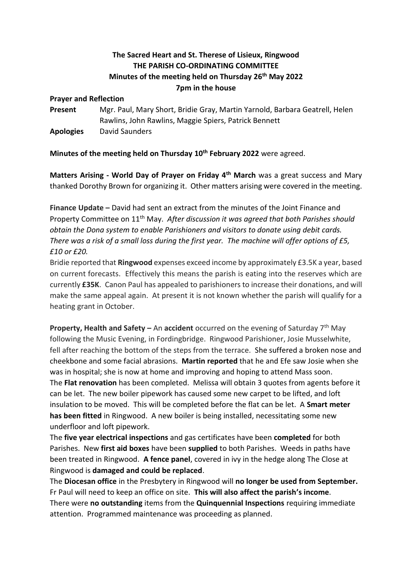# **The Sacred Heart and St. Therese of Lisieux, Ringwood THE PARISH CO-ORDINATING COMMITTEE Minutes of the meeting held on Thursday 26th May 2022 7pm in the house**

#### **Prayer and Reflection**

**Present** Mgr. Paul, Mary Short, Bridie Gray, Martin Yarnold, Barbara Geatrell, Helen Rawlins, John Rawlins, Maggie Spiers, Patrick Bennett **Apologies** David Saunders

## **Minutes of the meeting held on Thursday 10th February 2022** were agreed.

**Matters Arising - World Day of Prayer on Friday 4th March** was a great success and Mary thanked Dorothy Brown for organizing it. Other matters arising were covered in the meeting.

**Finance Update –** David had sent an extract from the minutes of the Joint Finance and Property Committee on 11th May. *After discussion it was agreed that both Parishes should obtain the Dona system to enable Parishioners and visitors to donate using debit cards. There was a risk of a small loss during the first year. The machine will offer options of £5, £10 or £20.*

Bridie reported that **Ringwood** expenses exceed income by approximately £3.5K a year, based on current forecasts. Effectively this means the parish is eating into the reserves which are currently **£35K**. Canon Paul has appealed to parishioners to increase their donations, and will make the same appeal again. At present it is not known whether the parish will qualify for a heating grant in October.

**Property, Health and Safety – An accident** occurred on the evening of Saturday 7<sup>th</sup> May following the Music Evening, in Fordingbridge. Ringwood Parishioner, Josie Musselwhite, fell after reaching the bottom of the steps from the terrace. She suffered a broken nose and cheekbone and some facial abrasions. **Martin reported** that he and Efe saw Josie when she was in hospital; she is now at home and improving and hoping to attend Mass soon. The **Flat renovation** has been completed. Melissa will obtain 3 quotes from agents before it can be let. The new boiler pipework has caused some new carpet to be lifted, and loft insulation to be moved. This will be completed before the flat can be let. A **Smart meter has been fitted** in Ringwood. A new boiler is being installed, necessitating some new underfloor and loft pipework.

The **five year electrical inspections** and gas certificates have been **completed** for both Parishes. New **first aid boxes** have been **supplied** to both Parishes. Weeds in paths have been treated in Ringwood. **A fence panel**, covered in ivy in the hedge along The Close at Ringwood is **damaged and could be replaced**.

The **Diocesan office** in the Presbytery in Ringwood will **no longer be used from September.** Fr Paul will need to keep an office on site. **This will also affect the parish's income**. There were **no outstanding** items from the **Quinquennial Inspections** requiring immediate attention. Programmed maintenance was proceeding as planned.